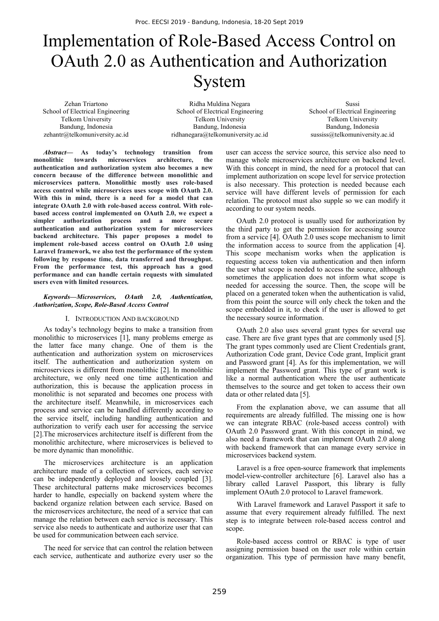# Implementation of Role-Based Access Control on OAuth 2.0 as Authentication and Authorization System

Zehan Triartono School of Electrical Engineering Telkom University Bandung, Indonesia zehantr@telkomuniversity.ac.id

Ridha Muldina Negara School of Electrical Engineering Telkom University Bandung, Indonesia ridhanegara@telkomuniversity.ac.id

Sussi School of Electrical Engineering Telkom University Bandung, Indonesia sussiss@telkomuniversity.ac.id

*Abstract***— As today's technology transition from monolithic towards microservices architecture, the authentication and authorization system also becomes a new concern because of the difference between monolithic and microservices pattern. Monolithic mostly uses role-based access control while microservices uses scope with OAuth 2.0. With this in mind, there is a need for a model that can integrate OAuth 2.0 with role-based access control. With rolebased access control implemented on OAuth 2.0, we expect a simpler authorization process and a more secure authentication and authorization system for microservices backend architecture. This paper proposes a model to implement role-based access control on OAuth 2.0 using Laravel framework, we also test the performance of the system following by response time, data transferred and throughput. From the performance test, this approach has a good performance and can handle certain requests with simulated users even with limited resources.**

#### *Keywords—Microservices, OAuth 2.0, Authentication, Authorization, Scope, Role-Based Access Control*

#### I. INTRODUCTION AND BACKGROUND

As today's technology begins to make a transition from monolithic to microservices [1], many problems emerge as the latter face many change. One of them is the authentication and authorization system on microservices itself. The authentication and authorization system on microservices is different from monolithic [2]. In monolithic architecture, we only need one time authentication and authorization, this is because the application process in monolithic is not separated and becomes one process with the architecture itself. Meanwhile, in microservices each process and service can be handled differently according to the service itself, including handling authentication and authorization to verify each user for accessing the service [2].The microservices architecture itself is different from the monolithic architecture, where microservices is believed to be more dynamic than monolithic.

The microservices architecture is an application architecture made of a collection of services, each service can be independently deployed and loosely coupled [3]. These architectural patterns make microservices becomes harder to handle, especially on backend system where the backend organize relation between each service. Based on the microservices architecture, the need of a service that can manage the relation between each service is necessary. This service also needs to authenticate and authorize user that can be used for communication between each service.

The need for service that can control the relation between each service, authenticate and authorize every user so the user can access the service source, this service also need to manage whole microservices architecture on backend level. With this concept in mind, the need for a protocol that can implement authorization on scope level for service protection is also necessary. This protection is needed because each service will have different levels of permission for each relation. The protocol must also supple so we can modify it according to our system needs.

OAuth 2.0 protocol is usually used for authorization by the third party to get the permission for accessing source from a service [4]. OAuth 2.0 uses scope mechanism to limit the information access to source from the application [4]. This scope mechanism works when the application is requesting access token via authentication and then inform the user what scope is needed to access the source, although sometimes the application does not inform what scope is needed for accessing the source. Then, the scope will be placed on a generated token when the authentication is valid, from this point the source will only check the token and the scope embedded in it, to check if the user is allowed to get the necessary source information.

OAuth 2.0 also uses several grant types for several use case. There are five grant types that are commonly used [5]. The grant types commonly used are Client Credentials grant, Authorization Code grant, Device Code grant, Implicit grant and Password grant [4]. As for this implementation, we will implement the Password grant. This type of grant work is like a normal authentication where the user authenticate themselves to the source and get token to access their own data or other related data [5].

From the explanation above, we can assume that all requirements are already fulfilled. The missing one is how we can integrate RBAC (role-based access control) with OAuth 2.0 Password grant. With this concept in mind, we also need a framework that can implement OAuth 2.0 along with backend framework that can manage every service in microservices backend system.

Laravel is a free open-source framework that implements model-view-controller architecture [6]. Laravel also has a library called Laravel Passport, this library is fully implement OAuth 2.0 protocol to Laravel framework.

With Laravel framework and Laravel Passport it safe to assume that every requirement already fulfilled. The next step is to integrate between role-based access control and scope.

Role-based access control or RBAC is type of user assigning permission based on the user role within certain organization. This type of permission have many benefit,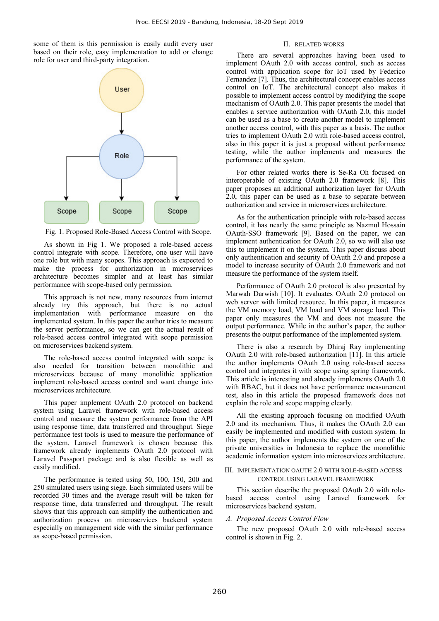some of them is this permission is easily audit every user based on their role, easy implementation to add or change role for user and third-party integration.



Fig. 1. Proposed Role-Based Access Control with Scope.

As shown in Fig 1. We proposed a role-based access control integrate with scope. Therefore, one user will have one role but with many scopes. This approach is expected to make the process for authorization in microservices architecture becomes simpler and at least has similar performance with scope-based only permission.

This approach is not new, many resources from internet already try this approach, but there is no actual implementation with performance measure on the implemented system. In this paper the author tries to measure the server performance, so we can get the actual result of role-based access control integrated with scope permission on microservices backend system.

The role-based access control integrated with scope is also needed for transition between monolithic and microservices because of many monolithic application implement role-based access control and want change into microservices architecture.

This paper implement OAuth 2.0 protocol on backend system using Laravel framework with role-based access control and measure the system performance from the API using response time, data transferred and throughput. Siege performance test tools is used to measure the performance of the system. Laravel framework is chosen because this framework already implements OAuth 2.0 protocol with Laravel Passport package and is also flexible as well as easily modified.

The performance is tested using 50, 100, 150, 200 and 250 simulated users using siege. Each simulated users will be recorded 30 times and the average result will be taken for response time, data transferred and throughput. The result shows that this approach can simplify the authentication and authorization process on microservices backend system especially on management side with the similar performance as scope-based permission.

## II. RELATED WORKS

There are several approaches having been used to implement OAuth 2.0 with access control, such as access control with application scope for IoT used by Federico Fernandez [7]. Thus, the architectural concept enables access control on IoT. The architectural concept also makes it possible to implement access control by modifying the scope mechanism of OAuth 2.0. This paper presents the model that enables a service authorization with OAuth 2.0, this model can be used as a base to create another model to implement another access control, with this paper as a basis. The author tries to implement OAuth 2.0 with role-based access control, also in this paper it is just a proposal without performance testing, while the author implements and measures the performance of the system.

For other related works there is Se-Ra Oh focused on interoperable of existing OAuth 2.0 framework [8]. This paper proposes an additional authorization layer for OAuth 2.0, this paper can be used as a base to separate between authorization and service in microservices architecture.

As for the authentication principle with role-based access control, it has nearly the same principle as Nazmul Hossain OAuth-SSO framework [9]. Based on the paper, we can implement authentication for OAuth 2.0, so we will also use this to implement it on the system. This paper discuss about only authentication and security of OAuth 2.0 and propose a model to increase security of OAuth 2.0 framework and not measure the performance of the system itself.

Performance of OAuth 2.0 protocol is also presented by Marwah Darwish [10]. It evaluates OAuth 2.0 protocol on web server with limited resource. In this paper, it measures the VM memory load, VM load and VM storage load. This paper only measures the VM and does not measure the output performance. While in the author's paper, the author presents the output performance of the implemented system.

There is also a research by Dhiraj Ray implementing OAuth 2.0 with role-based authorization [11]. In this article the author implements OAuth 2.0 using role-based access control and integrates it with scope using spring framework. This article is interesting and already implements OAuth 2.0 with RBAC, but it does not have performance measurement test, also in this article the proposed framework does not explain the role and scope mapping clearly.

All the existing approach focusing on modified OAuth 2.0 and its mechanism. Thus, it makes the OAuth 2.0 can easily be implemented and modified with custom system. In this paper, the author implements the system on one of the private universities in Indonesia to replace the monolithic academic information system into microservices architecture.

#### III. IMPLEMENTATION OAUTH 2.0 WITH ROLE-BASED ACCESS CONTROL USING LARAVEL FRAMEWORK

This section describe the proposed OAuth 2.0 with rolebased access control using Laravel framework for microservices backend system.

#### *A. Proposed Access Control Flow*

The new proposed OAuth 2.0 with role-based access control is shown in Fig. 2.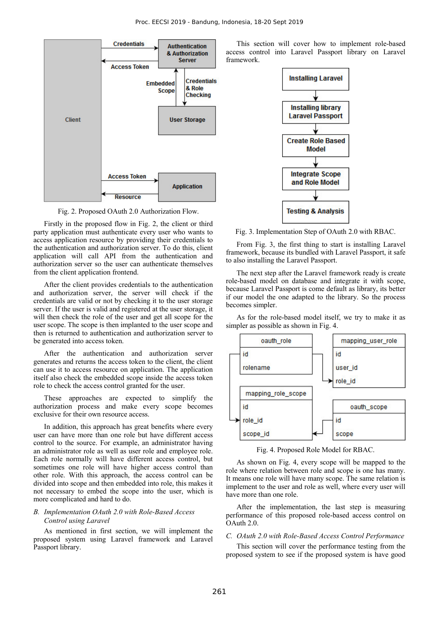

Fig. 2. Proposed OAuth 2.0 Authorization Flow.

Firstly in the proposed flow in Fig. 2, the client or third party application must authenticate every user who wants to access application resource by providing their credentials to the authentication and authorization server. To do this, client application will call API from the authentication and authorization server so the user can authenticate themselves from the client application frontend.

After the client provides credentials to the authentication and authorization server, the server will check if the credentials are valid or not by checking it to the user storage server. If the user is valid and registered at the user storage, it will then check the role of the user and get all scope for the user scope. The scope is then implanted to the user scope and then is returned to authentication and authorization server to be generated into access token.

After the authentication and authorization server generates and returns the access token to the client, the client can use it to access resource on application. The application itself also check the embedded scope inside the access token role to check the access control granted for the user.

These approaches are expected to simplify the authorization process and make every scope becomes exclusive for their own resource access.

In addition, this approach has great benefits where every user can have more than one role but have different access control to the source. For example, an administrator having an administrator role as well as user role and employee role. Each role normally will have different access control, but sometimes one role will have higher access control than other role. With this approach, the access control can be divided into scope and then embedded into role, this makes it not necessary to embed the scope into the user, which is more complicated and hard to do.

## *B. Implementation OAuth 2.0 with Role-Based Access Control using Laravel*

As mentioned in first section, we will implement the proposed system using Laravel framework and Laravel Passport library.

 This section will cover how to implement role-based access control into Laravel Passport library on Laravel framework.



Fig. 3. Implementation Step of OAuth 2.0 with RBAC.

 From Fig. 3, the first thing to start is installing Laravel framework, because its bundled with Laravel Passport, it safe to also installing the Laravel Passport.

 The next step after the Laravel framework ready is create role-based model on database and integrate it with scope, because Laravel Passport is come default as library, its better if our model the one adapted to the library. So the process becomes simpler.

 As for the role-based model itself, we try to make it as simpler as possible as shown in Fig. 4.



Fig. 4. Proposed Role Model for RBAC.

 As shown on Fig. 4, every scope will be mapped to the role where relation between role and scope is one has many. It means one role will have many scope. The same relation is implement to the user and role as well, where every user will have more than one role.

 After the implementation, the last step is measuring performance of this proposed role-based access control on OAuth 2.0.

## *C. OAuth 2.0 with Role-Based Access Control Performance*

This section will cover the performance testing from the proposed system to see if the proposed system is have good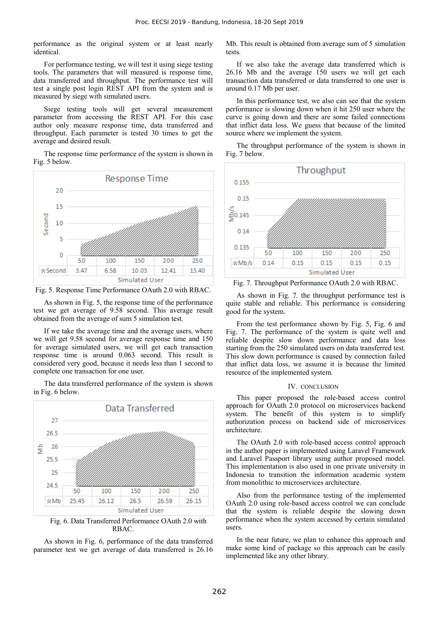performance as the original system or at least nearly identical.

For performance testing, we will test it using siege testing tools. The parameters that will measured is response time, data transferred and throughput. The performance test will test a single post login REST API from the system and is measured by siege with simulated users.

Siege testing tools will get several measurement parameter from accessing the REST API. For this case author only measure response time, data transferred and throughput. Each parameter is tested 30 times to get the average and desired result.

The response time performance of the system is shown in Fig. 5 below.



Fig. 5. Response Time Performance OAuth 2.0 with RBAC.

 As shown in Fig. 5, the response time of the performance test we get average of 9.58 second. This average result obtained from the average of sum 5 simulation test.

 If we take the average time and the average users, where we will get 9.58 second for average response time and 150 for average simulated users, we will get each transaction response time is around 0.063 second. This result is considered very good, because it needs less than 1 second to complete one transaction for one user.

The data transferred performance of the system is shown in Fig. 6 below.



Fig. 6. Data Transferred Performance OAuth 2.0 with RBAC.

 As shown in Fig. 6, performance of the data transferred parameter test we get average of data transferred is 26.16 Mb. This result is obtained from average sum of 5 simulation tests.

 If we also take the average data transferred which is 26.16 Mb and the average 150 users we will get each transaction data transferred or data transferred to one user is around 0.17 Mb per user.

 In this performance test, we also can see that the system performance is slowing down when it hit 250 user where the curve is going down and there are some failed connections that inflict data loss. We guess that because of the limited source where we implement the system.

The throughput performance of the system is shown in Fig. 7 below.



Fig. 7. Throughput Performance OAuth 2.0 with RBAC.

As shown in Fig. 7. the throughput performance test is quite stable and reliable. This performance is considering good for the system.

From the test performance shown by Fig. 5, Fig. 6 and Fig. 7. The performance of the system is quite well and reliable despite slow down performance and data loss starting from the 250 simulated users on data transferred test. This slow down performance is caused by connection failed that inflict data loss, we assume it is because the limited resource of the implemented system.

#### IV. CONCLUSION

This paper proposed the role-based access control approach for OAuth 2.0 protocol on microservices backend system. The benefit of this system is to simplify authorization process on backend side of microservices architecture.

The OAuth 2.0 with role-based access control approach in the author paper is implemented using Laravel Framework and Laravel Passport library using author proposed model. This implementation is also used in one private university in Indonesia to transition the information academic system from monolithic to microservices architecture.

Also from the performance testing of the implemented OAuth 2.0 using role-based access control we can conclude that the system is reliable despite the slowing down performance when the system accessed by certain simulated users.

In the near future, we plan to enhance this approach and make some kind of package so this approach can be easily implemented like any other library.